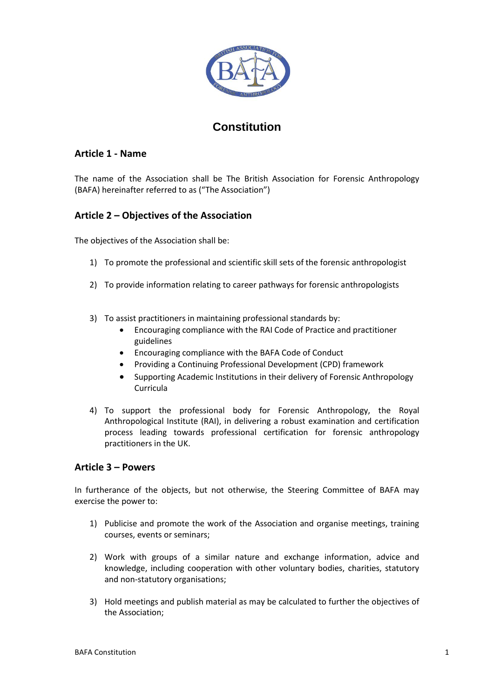

# **Constitution**

# **Article 1 - Name**

The name of the Association shall be The British Association for Forensic Anthropology (BAFA) hereinafter referred to as ("The Association")

# **Article 2 – Objectives of the Association**

The objectives of the Association shall be:

- 1) To promote the professional and scientific skill sets of the forensic anthropologist
- 2) To provide information relating to career pathways for forensic anthropologists
- 3) To assist practitioners in maintaining professional standards by:
	- Encouraging compliance with the RAI Code of Practice and practitioner guidelines
	- Encouraging compliance with the BAFA Code of Conduct
	- Providing a Continuing Professional Development (CPD) framework
	- Supporting Academic Institutions in their delivery of Forensic Anthropology Curricula
- 4) To support the professional body for Forensic Anthropology, the Royal Anthropological Institute (RAI), in delivering a robust examination and certification process leading towards professional certification for forensic anthropology practitioners in the UK.

## **Article 3 – Powers**

In furtherance of the objects, but not otherwise, the Steering Committee of BAFA may exercise the power to:

- 1) Publicise and promote the work of the Association and organise meetings, training courses, events or seminars;
- 2) Work with groups of a similar nature and exchange information, advice and knowledge, including cooperation with other voluntary bodies, charities, statutory and non-statutory organisations;
- 3) Hold meetings and publish material as may be calculated to further the objectives of the Association;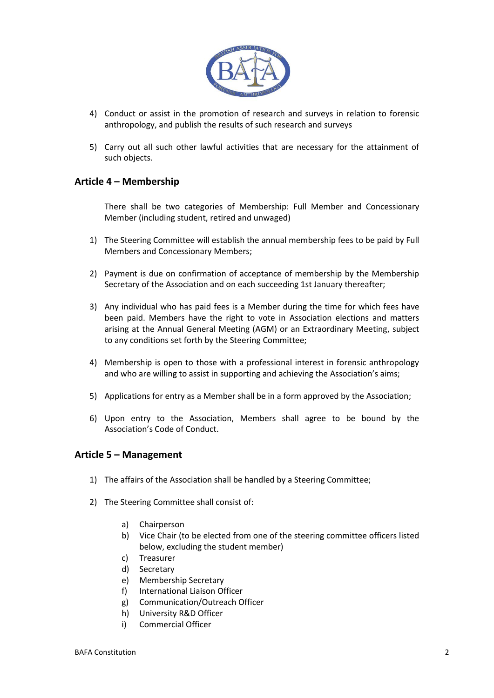

- 4) Conduct or assist in the promotion of research and surveys in relation to forensic anthropology, and publish the results of such research and surveys
- 5) Carry out all such other lawful activities that are necessary for the attainment of such objects.

# **Article 4 – Membership**

There shall be two categories of Membership: Full Member and Concessionary Member (including student, retired and unwaged)

- 1) The Steering Committee will establish the annual membership fees to be paid by Full Members and Concessionary Members;
- 2) Payment is due on confirmation of acceptance of membership by the Membership Secretary of the Association and on each succeeding 1st January thereafter;
- 3) Any individual who has paid fees is a Member during the time for which fees have been paid. Members have the right to vote in Association elections and matters arising at the Annual General Meeting (AGM) or an Extraordinary Meeting, subject to any conditions set forth by the Steering Committee;
- 4) Membership is open to those with a professional interest in forensic anthropology and who are willing to assist in supporting and achieving the Association's aims;
- 5) Applications for entry as a Member shall be in a form approved by the Association;
- 6) Upon entry to the Association, Members shall agree to be bound by the Association's Code of Conduct.

#### **Article 5 – Management**

- 1) The affairs of the Association shall be handled by a Steering Committee;
- 2) The Steering Committee shall consist of:
	- a) Chairperson
	- b) Vice Chair (to be elected from one of the steering committee officers listed below, excluding the student member)
	- c) Treasurer
	- d) Secretary
	- e) Membership Secretary
	- f) International Liaison Officer
	- g) Communication/Outreach Officer
	- h) University R&D Officer
	- i) Commercial Officer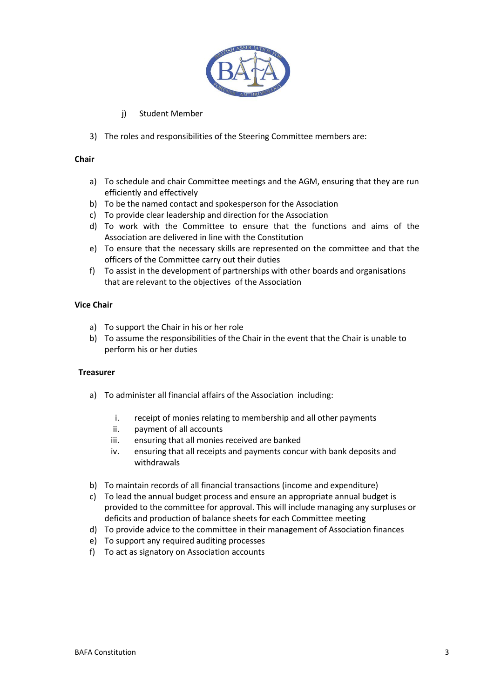

- j) Student Member
- 3) The roles and responsibilities of the Steering Committee members are:

#### **Chair**

- a) To schedule and chair Committee meetings and the AGM, ensuring that they are run efficiently and effectively
- b) To be the named contact and spokesperson for the Association
- c) To provide clear leadership and direction for the Association
- d) To work with the Committee to ensure that the functions and aims of the Association are delivered in line with the Constitution
- e) To ensure that the necessary skills are represented on the committee and that the officers of the Committee carry out their duties
- f) To assist in the development of partnerships with other boards and organisations that are relevant to the objectives of the Association

#### **Vice Chair**

- a) To support the Chair in his or her role
- b) To assume the responsibilities of the Chair in the event that the Chair is unable to perform his or her duties

#### **Treasurer**

- a) To administer all financial affairs of the Association including:
	- i. receipt of monies relating to membership and all other payments
	- ii. payment of all accounts
	- iii. ensuring that all monies received are banked
	- iv. ensuring that all receipts and payments concur with bank deposits and withdrawals
- b) To maintain records of all financial transactions (income and expenditure)
- c) To lead the annual budget process and ensure an appropriate annual budget is provided to the committee for approval. This will include managing any surpluses or deficits and production of balance sheets for each Committee meeting
- d) To provide advice to the committee in their management of Association finances
- e) To support any required auditing processes
- f) To act as signatory on Association accounts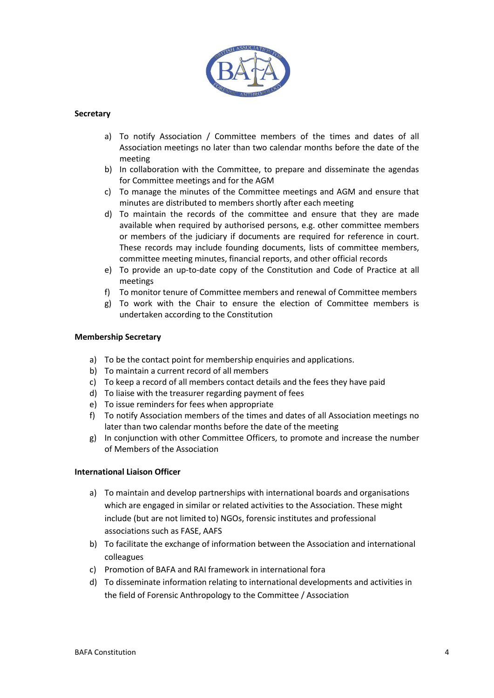

#### **Secretary**

- a) To notify Association / Committee members of the times and dates of all Association meetings no later than two calendar months before the date of the meeting
- b) In collaboration with the Committee, to prepare and disseminate the agendas for Committee meetings and for the AGM
- c) To manage the minutes of the Committee meetings and AGM and ensure that minutes are distributed to members shortly after each meeting
- d) To maintain the records of the committee and ensure that they are made available when required by authorised persons, e.g. other committee members or members of the judiciary if documents are required for reference in court. These records may include founding documents, lists of committee members, committee meeting minutes, financial reports, and other official records
- e) To provide an up-to-date copy of the Constitution and Code of Practice at all meetings
- f) To monitor tenure of Committee members and renewal of Committee members
- g) To work with the Chair to ensure the election of Committee members is undertaken according to the Constitution

#### **Membership Secretary**

- a) To be the contact point for membership enquiries and applications.
- b) To maintain a current record of all members
- c) To keep a record of all members contact details and the fees they have paid
- d) To liaise with the treasurer regarding payment of fees
- e) To issue reminders for fees when appropriate
- f) To notify Association members of the times and dates of all Association meetings no later than two calendar months before the date of the meeting
- g) In conjunction with other Committee Officers, to promote and increase the number of Members of the Association

#### **International Liaison Officer**

- a) To maintain and develop partnerships with international boards and organisations which are engaged in similar or related activities to the Association. These might include (but are not limited to) NGOs, forensic institutes and professional associations such as FASE, AAFS
- b) To facilitate the exchange of information between the Association and international colleagues
- c) Promotion of BAFA and RAI framework in international fora
- d) To disseminate information relating to international developments and activities in the field of Forensic Anthropology to the Committee / Association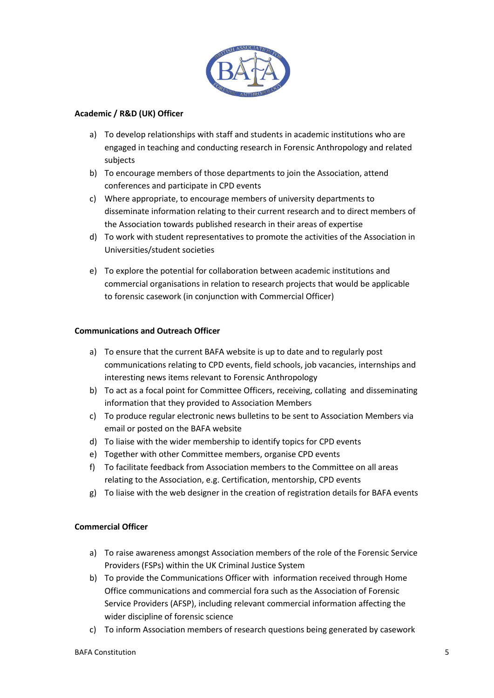

#### **Academic / R&D (UK) Officer**

- a) To develop relationships with staff and students in academic institutions who are engaged in teaching and conducting research in Forensic Anthropology and related subjects
- b) To encourage members of those departments to join the Association, attend conferences and participate in CPD events
- c) Where appropriate, to encourage members of university departments to disseminate information relating to their current research and to direct members of the Association towards published research in their areas of expertise
- d) To work with student representatives to promote the activities of the Association in Universities/student societies
- e) To explore the potential for collaboration between academic institutions and commercial organisations in relation to research projects that would be applicable to forensic casework (in conjunction with Commercial Officer)

#### **Communications and Outreach Officer**

- a) To ensure that the current BAFA website is up to date and to regularly post communications relating to CPD events, field schools, job vacancies, internships and interesting news items relevant to Forensic Anthropology
- b) To act as a focal point for Committee Officers, receiving, collating and disseminating information that they provided to Association Members
- c) To produce regular electronic news bulletins to be sent to Association Members via email or posted on the BAFA website
- d) To liaise with the wider membership to identify topics for CPD events
- e) Together with other Committee members, organise CPD events
- f) To facilitate feedback from Association members to the Committee on all areas relating to the Association, e.g. Certification, mentorship, CPD events
- g) To liaise with the web designer in the creation of registration details for BAFA events

#### **Commercial Officer**

- a) To raise awareness amongst Association members of the role of the Forensic Service Providers (FSPs) within the UK Criminal Justice System
- b) To provide the Communications Officer with information received through Home Office communications and commercial fora such as the Association of Forensic Service Providers (AFSP), including relevant commercial information affecting the wider discipline of forensic science
- c) To inform Association members of research questions being generated by casework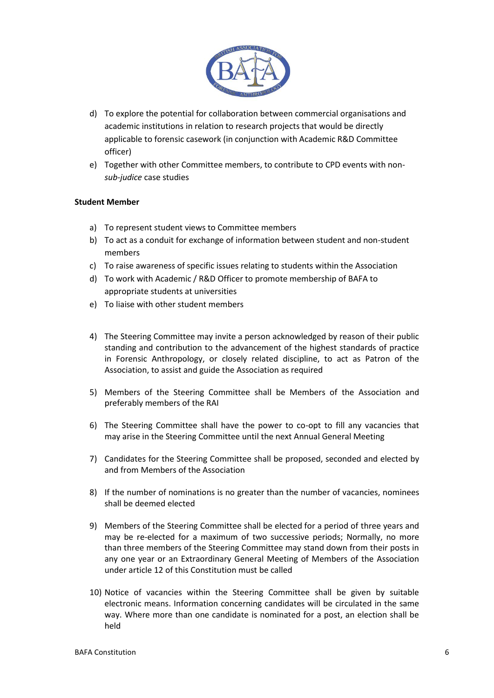

- d) To explore the potential for collaboration between commercial organisations and academic institutions in relation to research projects that would be directly applicable to forensic casework (in conjunction with Academic R&D Committee officer)
- e) Together with other Committee members, to contribute to CPD events with non*sub-judice* case studies

#### **Student Member**

- a) To represent student views to Committee members
- b) To act as a conduit for exchange of information between student and non-student members
- c) To raise awareness of specific issues relating to students within the Association
- d) To work with Academic / R&D Officer to promote membership of BAFA to appropriate students at universities
- e) To liaise with other student members
- 4) The Steering Committee may invite a person acknowledged by reason of their public standing and contribution to the advancement of the highest standards of practice in Forensic Anthropology, or closely related discipline, to act as Patron of the Association, to assist and guide the Association as required
- 5) Members of the Steering Committee shall be Members of the Association and preferably members of the RAI
- 6) The Steering Committee shall have the power to co-opt to fill any vacancies that may arise in the Steering Committee until the next Annual General Meeting
- 7) Candidates for the Steering Committee shall be proposed, seconded and elected by and from Members of the Association
- 8) If the number of nominations is no greater than the number of vacancies, nominees shall be deemed elected
- 9) Members of the Steering Committee shall be elected for a period of three years and may be re-elected for a maximum of two successive periods; Normally, no more than three members of the Steering Committee may stand down from their posts in any one year or an Extraordinary General Meeting of Members of the Association under article 12 of this Constitution must be called
- 10) Notice of vacancies within the Steering Committee shall be given by suitable electronic means. Information concerning candidates will be circulated in the same way. Where more than one candidate is nominated for a post, an election shall be held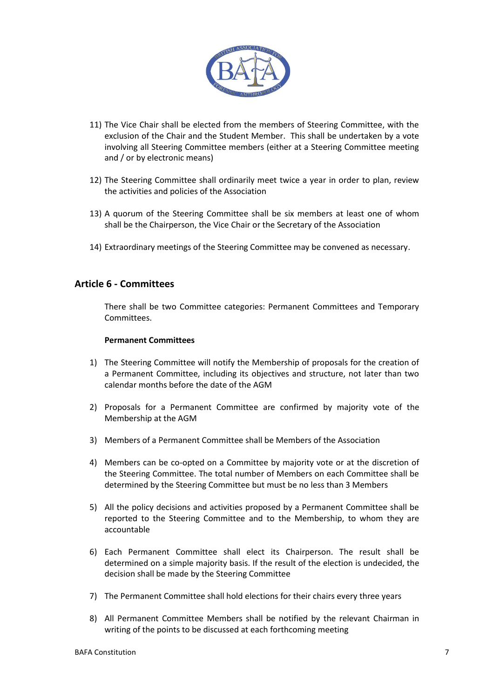

- 11) The Vice Chair shall be elected from the members of Steering Committee, with the exclusion of the Chair and the Student Member. This shall be undertaken by a vote involving all Steering Committee members (either at a Steering Committee meeting and / or by electronic means)
- 12) The Steering Committee shall ordinarily meet twice a year in order to plan, review the activities and policies of the Association
- 13) A quorum of the Steering Committee shall be six members at least one of whom shall be the Chairperson, the Vice Chair or the Secretary of the Association
- 14) Extraordinary meetings of the Steering Committee may be convened as necessary.

## **Article 6 - Committees**

There shall be two Committee categories: Permanent Committees and Temporary Committees.

#### **Permanent Committees**

- 1) The Steering Committee will notify the Membership of proposals for the creation of a Permanent Committee, including its objectives and structure, not later than two calendar months before the date of the AGM
- 2) Proposals for a Permanent Committee are confirmed by majority vote of the Membership at the AGM
- 3) Members of a Permanent Committee shall be Members of the Association
- 4) Members can be co-opted on a Committee by majority vote or at the discretion of the Steering Committee. The total number of Members on each Committee shall be determined by the Steering Committee but must be no less than 3 Members
- 5) All the policy decisions and activities proposed by a Permanent Committee shall be reported to the Steering Committee and to the Membership, to whom they are accountable
- 6) Each Permanent Committee shall elect its Chairperson. The result shall be determined on a simple majority basis. If the result of the election is undecided, the decision shall be made by the Steering Committee
- 7) The Permanent Committee shall hold elections for their chairs every three years
- 8) All Permanent Committee Members shall be notified by the relevant Chairman in writing of the points to be discussed at each forthcoming meeting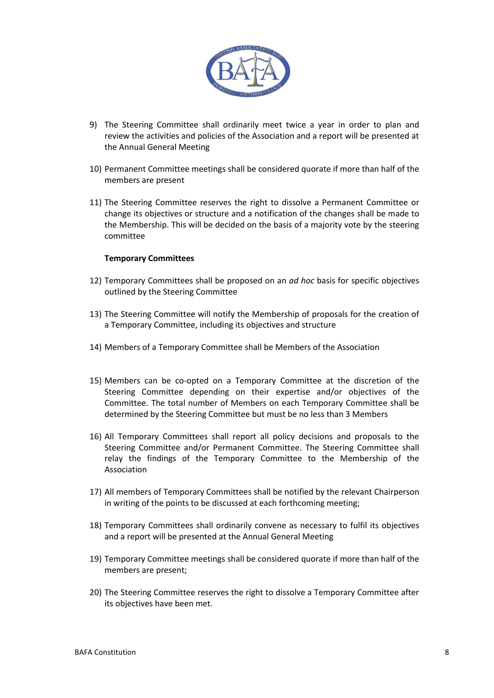

- 9) The Steering Committee shall ordinarily meet twice a year in order to plan and review the activities and policies of the Association and a report will be presented at the Annual General Meeting
- 10) Permanent Committee meetings shall be considered quorate if more than half of the members are present
- 11) The Steering Committee reserves the right to dissolve a Permanent Committee or change its objectives or structure and a notification of the changes shall be made to the Membership. This will be decided on the basis of a majority vote by the steering committee

#### **Temporary Committees**

- 12) Temporary Committees shall be proposed on an *ad hoc* basis for specific objectives outlined by the Steering Committee
- 13) The Steering Committee will notify the Membership of proposals for the creation of a Temporary Committee, including its objectives and structure
- 14) Members of a Temporary Committee shall be Members of the Association
- 15) Members can be co-opted on a Temporary Committee at the discretion of the Steering Committee depending on their expertise and/or objectives of the Committee. The total number of Members on each Temporary Committee shall be determined by the Steering Committee but must be no less than 3 Members
- 16) All Temporary Committees shall report all policy decisions and proposals to the Steering Committee and/or Permanent Committee. The Steering Committee shall relay the findings of the Temporary Committee to the Membership of the Association
- 17) All members of Temporary Committees shall be notified by the relevant Chairperson in writing of the points to be discussed at each forthcoming meeting;
- 18) Temporary Committees shall ordinarily convene as necessary to fulfil its objectives and a report will be presented at the Annual General Meeting
- 19) Temporary Committee meetings shall be considered quorate if more than half of the members are present;
- 20) The Steering Committee reserves the right to dissolve a Temporary Committee after its objectives have been met.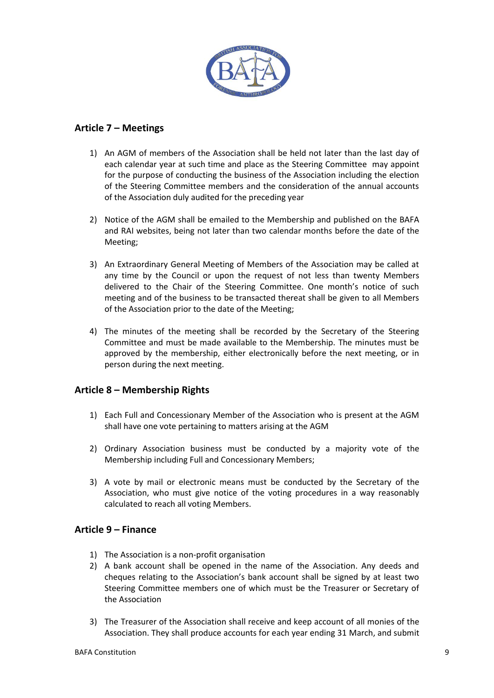

# **Article 7 – Meetings**

- 1) An AGM of members of the Association shall be held not later than the last day of each calendar year at such time and place as the Steering Committee may appoint for the purpose of conducting the business of the Association including the election of the Steering Committee members and the consideration of the annual accounts of the Association duly audited for the preceding year
- 2) Notice of the AGM shall be emailed to the Membership and published on the BAFA and RAI websites, being not later than two calendar months before the date of the Meeting;
- 3) An Extraordinary General Meeting of Members of the Association may be called at any time by the Council or upon the request of not less than twenty Members delivered to the Chair of the Steering Committee. One month's notice of such meeting and of the business to be transacted thereat shall be given to all Members of the Association prior to the date of the Meeting;
- 4) The minutes of the meeting shall be recorded by the Secretary of the Steering Committee and must be made available to the Membership. The minutes must be approved by the membership, either electronically before the next meeting, or in person during the next meeting.

# **Article 8 – Membership Rights**

- 1) Each Full and Concessionary Member of the Association who is present at the AGM shall have one vote pertaining to matters arising at the AGM
- 2) Ordinary Association business must be conducted by a majority vote of the Membership including Full and Concessionary Members;
- 3) A vote by mail or electronic means must be conducted by the Secretary of the Association, who must give notice of the voting procedures in a way reasonably calculated to reach all voting Members.

## **Article 9 – Finance**

- 1) The Association is a non-profit organisation
- 2) A bank account shall be opened in the name of the Association. Any deeds and cheques relating to the Association's bank account shall be signed by at least two Steering Committee members one of which must be the Treasurer or Secretary of the Association
- 3) The Treasurer of the Association shall receive and keep account of all monies of the Association. They shall produce accounts for each year ending 31 March, and submit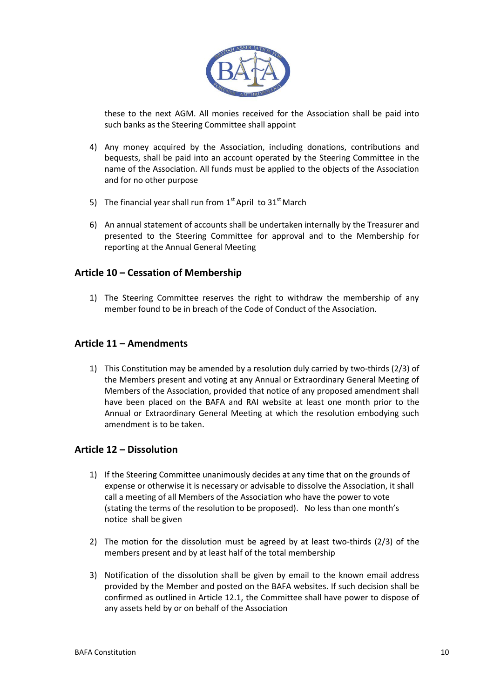

these to the next AGM. All monies received for the Association shall be paid into such banks as the Steering Committee shall appoint

- 4) Any money acquired by the Association, including donations, contributions and bequests, shall be paid into an account operated by the Steering Committee in the name of the Association. All funds must be applied to the objects of the Association and for no other purpose
- 5) The financial year shall run from  $1<sup>st</sup>$  April to  $31<sup>st</sup>$  March
- 6) An annual statement of accounts shall be undertaken internally by the Treasurer and presented to the Steering Committee for approval and to the Membership for reporting at the Annual General Meeting

## **Article 10 – Cessation of Membership**

1) The Steering Committee reserves the right to withdraw the membership of any member found to be in breach of the Code of Conduct of the Association.

## **Article 11 – Amendments**

1) This Constitution may be amended by a resolution duly carried by two-thirds (2/3) of the Members present and voting at any Annual or Extraordinary General Meeting of Members of the Association, provided that notice of any proposed amendment shall have been placed on the BAFA and RAI website at least one month prior to the Annual or Extraordinary General Meeting at which the resolution embodying such amendment is to be taken.

# **Article 12 – Dissolution**

- 1) If the Steering Committee unanimously decides at any time that on the grounds of expense or otherwise it is necessary or advisable to dissolve the Association, it shall call a meeting of all Members of the Association who have the power to vote (stating the terms of the resolution to be proposed). No less than one month's notice shall be given
- 2) The motion for the dissolution must be agreed by at least two-thirds (2/3) of the members present and by at least half of the total membership
- 3) Notification of the dissolution shall be given by email to the known email address provided by the Member and posted on the BAFA websites. If such decision shall be confirmed as outlined in Article 12.1, the Committee shall have power to dispose of any assets held by or on behalf of the Association